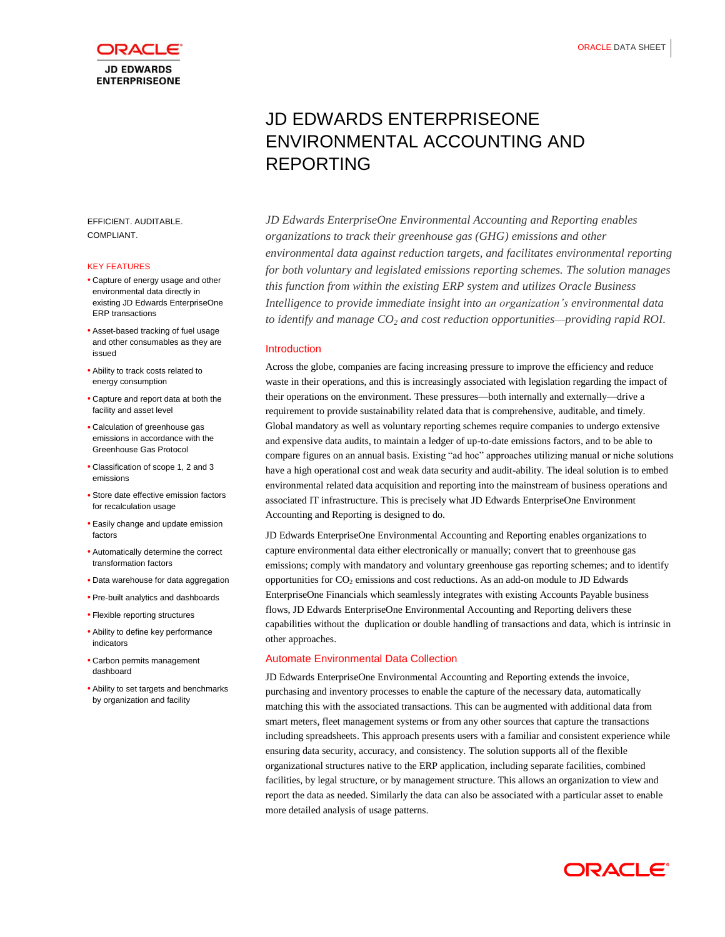

EFFICIENT. AUDITABLE. COMPLIANT.

## KEY FEATURES

- Capture of energy usage and other environmental data directly in existing JD Edwards EnterpriseOne ERP transactions
- Asset-based tracking of fuel usage and other consumables as they are issued
- Ability to track costs related to energy consumption
- Capture and report data at both the facility and asset level
- Calculation of greenhouse gas emissions in accordance with the Greenhouse Gas Protocol
- Classification of scope 1, 2 and 3 emissions
- Store date effective emission factors for recalculation usage
- Easily change and update emission factors
- Automatically determine the correct transformation factors
- Data warehouse for data aggregation
- Pre-built analytics and dashboards
- Flexible reporting structures
- Ability to define key performance indicators
- Carbon permits management dashboard
- Ability to set targets and benchmarks by organization and facility

# JD EDWARDS ENTERPRISEONE ENVIRONMENTAL ACCOUNTING AND REPORTING

*JD Edwards EnterpriseOne Environmental Accounting and Reporting enables organizations to track their greenhouse gas (GHG) emissions and other environmental data against reduction targets, and facilitates environmental reporting for both voluntary and legislated emissions reporting schemes. The solution manages this function from within the existing ERP system and utilizes Oracle Business Intelligence to provide immediate insight into an organization's environmental data to identify and manage CO<sup>2</sup> and cost reduction opportunities—providing rapid ROI.*

#### Introduction

Across the globe, companies are facing increasing pressure to improve the efficiency and reduce waste in their operations, and this is increasingly associated with legislation regarding the impact of their operations on the environment. These pressures—both internally and externally—drive a requirement to provide sustainability related data that is comprehensive, auditable, and timely. Global mandatory as well as voluntary reporting schemes require companies to undergo extensive and expensive data audits, to maintain a ledger of up-to-date emissions factors, and to be able to compare figures on an annual basis. Existing "ad hoc" approaches utilizing manual or niche solutions have a high operational cost and weak data security and audit-ability. The ideal solution is to embed environmental related data acquisition and reporting into the mainstream of business operations and associated IT infrastructure. This is precisely what JD Edwards EnterpriseOne Environment Accounting and Reporting is designed to do.

JD Edwards EnterpriseOne Environmental Accounting and Reporting enables organizations to capture environmental data either electronically or manually; convert that to greenhouse gas emissions; comply with mandatory and voluntary greenhouse gas reporting schemes; and to identify opportunities for  $CO<sub>2</sub>$  emissions and cost reductions. As an add-on module to JD Edwards EnterpriseOne Financials which seamlessly integrates with existing Accounts Payable business flows, JD Edwards EnterpriseOne Environmental Accounting and Reporting delivers these capabilities without the duplication or double handling of transactions and data, which is intrinsic in other approaches.

# Automate Environmental Data Collection

JD Edwards EnterpriseOne Environmental Accounting and Reporting extends the invoice, purchasing and inventory processes to enable the capture of the necessary data, automatically matching this with the associated transactions. This can be augmented with additional data from smart meters, fleet management systems or from any other sources that capture the transactions including spreadsheets. This approach presents users with a familiar and consistent experience while ensuring data security, accuracy, and consistency. The solution supports all of the flexible organizational structures native to the ERP application, including separate facilities, combined facilities, by legal structure, or by management structure. This allows an organization to view and report the data as needed. Similarly the data can also be associated with a particular asset to enable more detailed analysis of usage patterns.

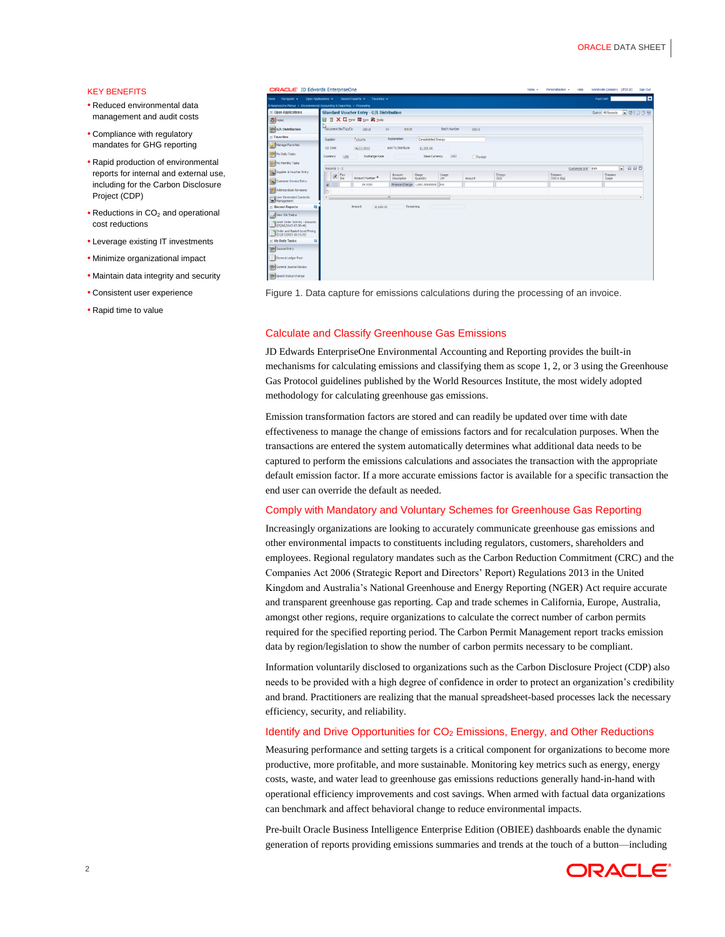## KEY BENEFITS

- Reduced environmental data management and audit costs
- Compliance with regulatory mandates for GHG reporting
- Rapid production of environmental reports for internal and external use, including for the Carbon Disclosure Project (CDP)
- $\bullet$  Reductions in CO<sub>2</sub> and operational cost reductions
- Leverage existing IT investments
- Minimize organizational impact
- Maintain data integrity and security
- Consistent user experience
- Rapid time to value

| ORACLE' JD Edwards EnterpriseOne                                                                                                                |                                                                            |            |                      |                   |                                               |                |         |        | Roles $\sim$ | Personalization + | Help               | Worldwide Company [JPD910] |        | Sign Out |  |
|-------------------------------------------------------------------------------------------------------------------------------------------------|----------------------------------------------------------------------------|------------|----------------------|-------------------|-----------------------------------------------|----------------|---------|--------|--------------|-------------------|--------------------|----------------------------|--------|----------|--|
| Open Applications . Recent Reports . Favorites .<br>fome Navigator +<br>EnterpriseOne Menus > Environmental Accounting & Reporting > Processing |                                                                            |            |                      |                   |                                               |                |         |        |              | Fast Path         |                    |                            |        |          |  |
| $\leq$ Open Applications                                                                                                                        | <b>Standard Voucher Entry - G/L Distribution</b>                           |            |                      |                   |                                               |                |         |        |              |                   |                    | Query: All Records         | 同國同國圈  |          |  |
| <b>S</b> Home                                                                                                                                   | 日 自 X 日 Form 田 Row & Tools                                                 |            |                      |                   |                                               |                |         |        |              |                   |                    |                            |        |          |  |
| G/L Distribution                                                                                                                                | Document No/Typ/Co<br><b>Batch Number</b><br>25818<br>00020<br>PV<br>32915 |            |                      |                   |                                               |                |         |        |              |                   |                    |                            |        |          |  |
| $\leq$ Favorites                                                                                                                                | Suppler                                                                    |            | "151474              | Explanation       | Consolidated Energy                           |                |         |        |              |                   |                    |                            |        |          |  |
| Manage Favorites                                                                                                                                | G.f. Date                                                                  |            | 06/21/2013           | Amt To Distribute |                                               |                |         |        |              |                   |                    |                            |        |          |  |
| My Daily Tasks                                                                                                                                  | Currency.                                                                  | <b>USD</b> | <b>Exchange Rate</b> |                   | 10,000.00<br><b>Base Currency</b>             | <b>USD</b>     | Foreign |        |              |                   |                    |                            |        |          |  |
| My Monthly Tasks                                                                                                                                |                                                                            |            |                      |                   |                                               |                |         |        |              |                   |                    |                            | $-000$ |          |  |
| Suppler & Voucher Entry                                                                                                                         | Records 1-2<br><b>2</b> Fay                                                | Pay        | Account Number *     | Account           | Usage                                         | Usage          |         | Energy |              | Emission          | Customize Grid EAR | Emission                   |        |          |  |
| Customer Invoice Entry                                                                                                                          | $\bullet$                                                                  |            | 29.5200              | Description       | Quantity<br>Finance Charge: 1,000.00000000 KW | UM <sup></sup> | Amount  | (GJ)   |              | CO2-e (Kg)        |                    | Scope                      |        |          |  |
| Address Book Revisions                                                                                                                          | le                                                                         |            |                      |                   |                                               |                |         |        |              |                   |                    |                            |        |          |  |
| <b>Hind User Generated Contents</b><br>Management                                                                                               | $\left($                                                                   |            |                      | n                 |                                               |                |         |        |              |                   |                    |                            |        | ٠        |  |
| $\leq$ Recent Reports                                                                                                                           |                                                                            |            | Arrount<br>10,000.00 | Remaining         |                                               |                |         |        |              |                   |                    |                            |        |          |  |
| View Job Status                                                                                                                                 |                                                                            |            |                      |                   |                                               |                |         |        |              |                   |                    |                            |        |          |  |
| V Work Order Activity - Amounts<br>(05/08/2013 07:38:49)                                                                                        |                                                                            |            |                      |                   |                                               |                |         |        |              |                   |                    |                            |        |          |  |
| V Crder and Basket Level Pricing<br>(01/07/2013 18:11:35)                                                                                       |                                                                            |            |                      |                   |                                               |                |         |        |              |                   |                    |                            |        |          |  |
| $\leq$ My Daily Tasks                                                                                                                           |                                                                            |            |                      |                   |                                               |                |         |        |              |                   |                    |                            |        |          |  |
| Dournal Entry                                                                                                                                   |                                                                            |            |                      |                   |                                               |                |         |        |              |                   |                    |                            |        |          |  |
| General Ledger Post                                                                                                                             |                                                                            |            |                      |                   |                                               |                |         |        |              |                   |                    |                            |        |          |  |
| General Journal Review                                                                                                                          |                                                                            |            |                      |                   |                                               |                |         |        |              |                   |                    |                            |        |          |  |
| Speed Status Change                                                                                                                             |                                                                            |            |                      |                   |                                               |                |         |        |              |                   |                    |                            |        |          |  |

Figure 1. Data capture for emissions calculations during the processing of an invoice.

#### Calculate and Classify Greenhouse Gas Emissions

JD Edwards EnterpriseOne Environmental Accounting and Reporting provides the built-in mechanisms for calculating emissions and classifying them as scope 1, 2, or 3 using the Greenhouse Gas Protocol guidelines published by the World Resources Institute, the most widely adopted methodology for calculating greenhouse gas emissions.

Emission transformation factors are stored and can readily be updated over time with date effectiveness to manage the change of emissions factors and for recalculation purposes. When the transactions are entered the system automatically determines what additional data needs to be captured to perform the emissions calculations and associates the transaction with the appropriate default emission factor. If a more accurate emissions factor is available for a specific transaction the end user can override the default as needed.

#### Comply with Mandatory and Voluntary Schemes for Greenhouse Gas Reporting

Increasingly organizations are looking to accurately communicate greenhouse gas emissions and other environmental impacts to constituents including regulators, customers, shareholders and employees. Regional regulatory mandates such as the Carbon Reduction Commitment (CRC) and the Companies Act 2006 (Strategic Report and Directors' Report) Regulations 2013 in the United Kingdom and Australia's National Greenhouse and Energy Reporting (NGER) Act require accurate and transparent greenhouse gas reporting. Cap and trade schemes in California, Europe, Australia, amongst other regions, require organizations to calculate the correct number of carbon permits required for the specified reporting period. The Carbon Permit Management report tracks emission data by region/legislation to show the number of carbon permits necessary to be compliant.

Information voluntarily disclosed to organizations such as the Carbon Disclosure Project (CDP) also needs to be provided with a high degree of confidence in order to protect an organization's credibility and brand. Practitioners are realizing that the manual spreadsheet-based processes lack the necessary efficiency, security, and reliability.

# Identify and Drive Opportunities for  $CO<sub>2</sub>$  Emissions, Energy, and Other Reductions

Measuring performance and setting targets is a critical component for organizations to become more productive, more profitable, and more sustainable. Monitoring key metrics such as energy, energy costs, waste, and water lead to greenhouse gas emissions reductions generally hand-in-hand with operational efficiency improvements and cost savings. When armed with factual data organizations can benchmark and affect behavioral change to reduce environmental impacts.

Pre-built Oracle Business Intelligence Enterprise Edition (OBIEE) dashboards enable the dynamic generation of reports providing emissions summaries and trends at the touch of a button—including